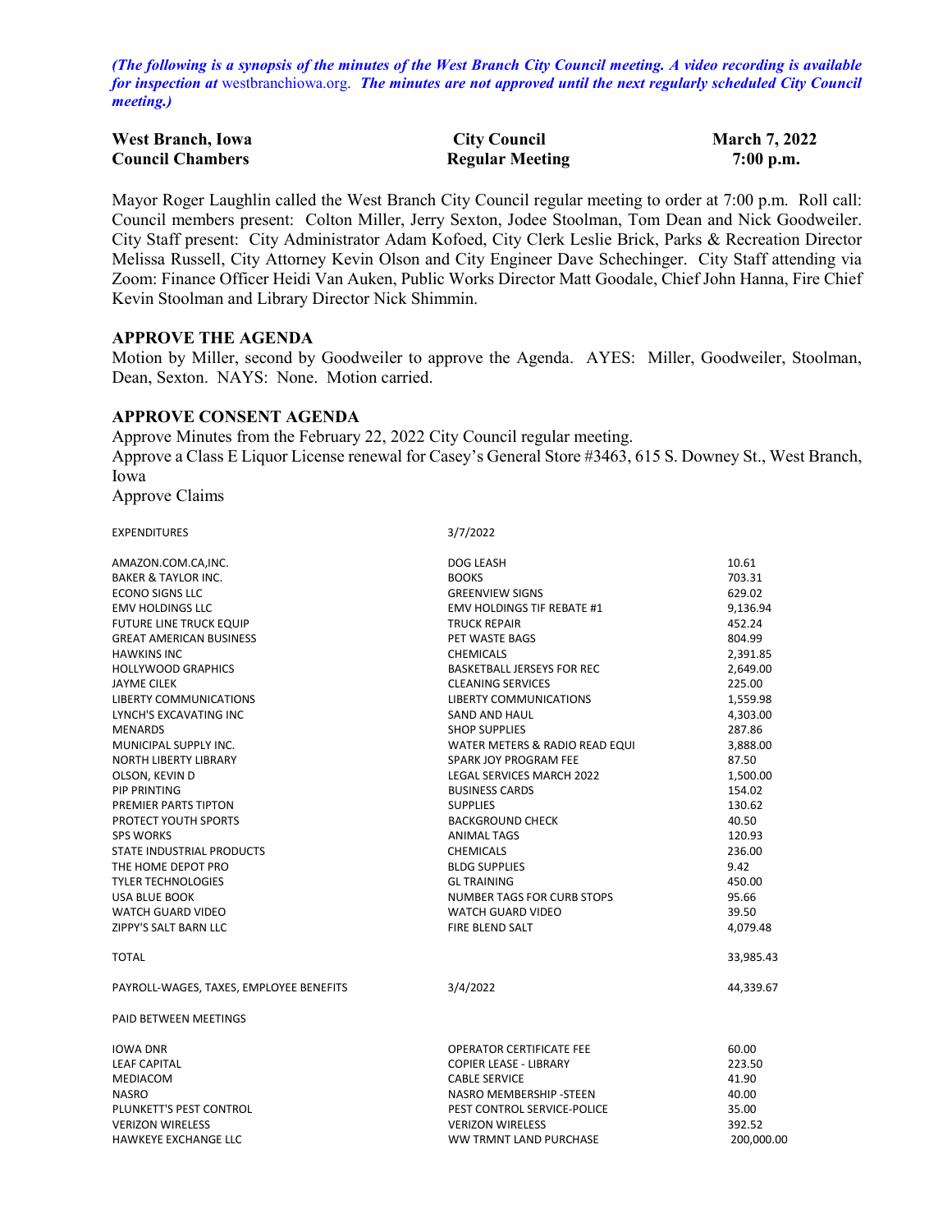*(The following is a synopsis of the minutes of the West Branch City Council meeting. A video recording is available for inspection at* [westbranchiowa.org.](https://westbranchiowa.org/city-of-west-branch/mayor-city-council/meetings/) *The minutes are not approved until the next regularly scheduled City Council meeting.)*

| <b>West Branch, Iowa</b> | <b>City Council</b>    | <b>March 7, 2022</b> |
|--------------------------|------------------------|----------------------|
| <b>Council Chambers</b>  | <b>Regular Meeting</b> | $7:00$ p.m.          |

Mayor Roger Laughlin called the West Branch City Council regular meeting to order at 7:00 p.m. Roll call: Council members present: Colton Miller, Jerry Sexton, Jodee Stoolman, Tom Dean and Nick Goodweiler. City Staff present: City Administrator Adam Kofoed, City Clerk Leslie Brick, Parks & Recreation Director Melissa Russell, City Attorney Kevin Olson and City Engineer Dave Schechinger. City Staff attending via Zoom: Finance Officer Heidi Van Auken, Public Works Director Matt Goodale, Chief John Hanna, Fire Chief Kevin Stoolman and Library Director Nick Shimmin.

#### **APPROVE THE AGENDA**

Motion by Miller, second by Goodweiler to approve the Agenda. AYES: Miller, Goodweiler, Stoolman, Dean, Sexton. NAYS: None. Motion carried.

#### **APPROVE CONSENT AGENDA**

Approve Minutes from the February 22, 2022 City Council regular meeting. Approve a Class E Liquor License renewal for Casey's General Store #3463, 615 S. Downey St., West Branch, Iowa Approve Claims

EXPENDITURES 3/7/2022

| AMAZON.COM.CA,INC.                      | <b>DOG LEASH</b>                     | 10.61     |
|-----------------------------------------|--------------------------------------|-----------|
| <b>BAKER &amp; TAYLOR INC.</b>          | <b>BOOKS</b>                         | 703.31    |
| <b>ECONO SIGNS LLC</b>                  | <b>GREENVIEW SIGNS</b>               | 629.02    |
| <b>EMV HOLDINGS LLC</b>                 | <b>EMV HOLDINGS TIF REBATE #1</b>    | 9,136.94  |
| <b>FUTURE LINE TRUCK EQUIP</b>          | <b>TRUCK REPAIR</b>                  | 452.24    |
| <b>GREAT AMERICAN BUSINESS</b>          | PET WASTE BAGS                       | 804.99    |
| <b>HAWKINS INC</b>                      | <b>CHEMICALS</b>                     | 2,391.85  |
| <b>HOLLYWOOD GRAPHICS</b>               | <b>BASKETBALL JERSEYS FOR REC</b>    | 2,649.00  |
| <b>JAYME CILEK</b>                      | <b>CLEANING SERVICES</b>             | 225.00    |
| <b>LIBERTY COMMUNICATIONS</b>           | LIBERTY COMMUNICATIONS               | 1,559.98  |
| LYNCH'S EXCAVATING INC                  | SAND AND HAUL                        | 4,303.00  |
| <b>MENARDS</b>                          | <b>SHOP SUPPLIES</b>                 | 287.86    |
| MUNICIPAL SUPPLY INC.                   | WATER METERS & RADIO READ EQUI       | 3,888.00  |
| <b>NORTH LIBERTY LIBRARY</b>            | SPARK JOY PROGRAM FEE                | 87.50     |
| OLSON, KEVIN D                          | <b>LEGAL SERVICES MARCH 2022</b>     | 1,500.00  |
| <b>PIP PRINTING</b>                     | <b>BUSINESS CARDS</b>                | 154.02    |
| PREMIER PARTS TIPTON                    | <b>SUPPLIES</b>                      | 130.62    |
| PROTECT YOUTH SPORTS                    | <b>BACKGROUND CHECK</b>              | 40.50     |
| <b>SPS WORKS</b>                        | ANIMAL TAGS                          | 120.93    |
| STATE INDUSTRIAL PRODUCTS               | <b>CHEMICALS</b>                     | 236.00    |
| THE HOME DEPOT PRO                      | <b>BLDG SUPPLIES</b>                 | 9.42      |
| <b>TYLER TECHNOLOGIES</b>               | <b>GL TRAINING</b>                   | 450.00    |
| <b>USA BLUE BOOK</b>                    | <b>NUMBER TAGS FOR CURB STOPS</b>    | 95.66     |
| WATCH GUARD VIDEO                       | WATCH GUARD VIDEO                    | 39.50     |
| <b>ZIPPY'S SALT BARN LLC</b>            | <b>FIRE BLEND SALT</b>               | 4,079.48  |
| <b>TOTAL</b>                            |                                      | 33,985.43 |
| PAYROLL-WAGES, TAXES, EMPLOYEE BENEFITS | 3/4/2022                             | 44,339.67 |
| PAID BETWEEN MEETINGS                   |                                      |           |
| <b>IOWA DNR</b>                         | <b>OPERATOR CERTIFICATE FEE</b>      | 60.00     |
| <b>LEAF CAPITAL</b>                     | COPIER LEASE - LIBRARY               | 223.50    |
| <b>MEDIACOM</b>                         | <b>CABLE SERVICE</b><br>41.90        |           |
| <b>NASRO</b>                            | NASRO MEMBERSHIP - STEEN             | 40.00     |
| PLUNKETT'S PEST CONTROL                 | PEST CONTROL SERVICE-POLICE          | 35.00     |
| <b>VERIZON WIRELESS</b>                 | <b>VERIZON WIRELESS</b><br>392.52    |           |
| <b>HAWKEYE EXCHANGE LLC</b>             | WW TRMNT LAND PURCHASE<br>200,000.00 |           |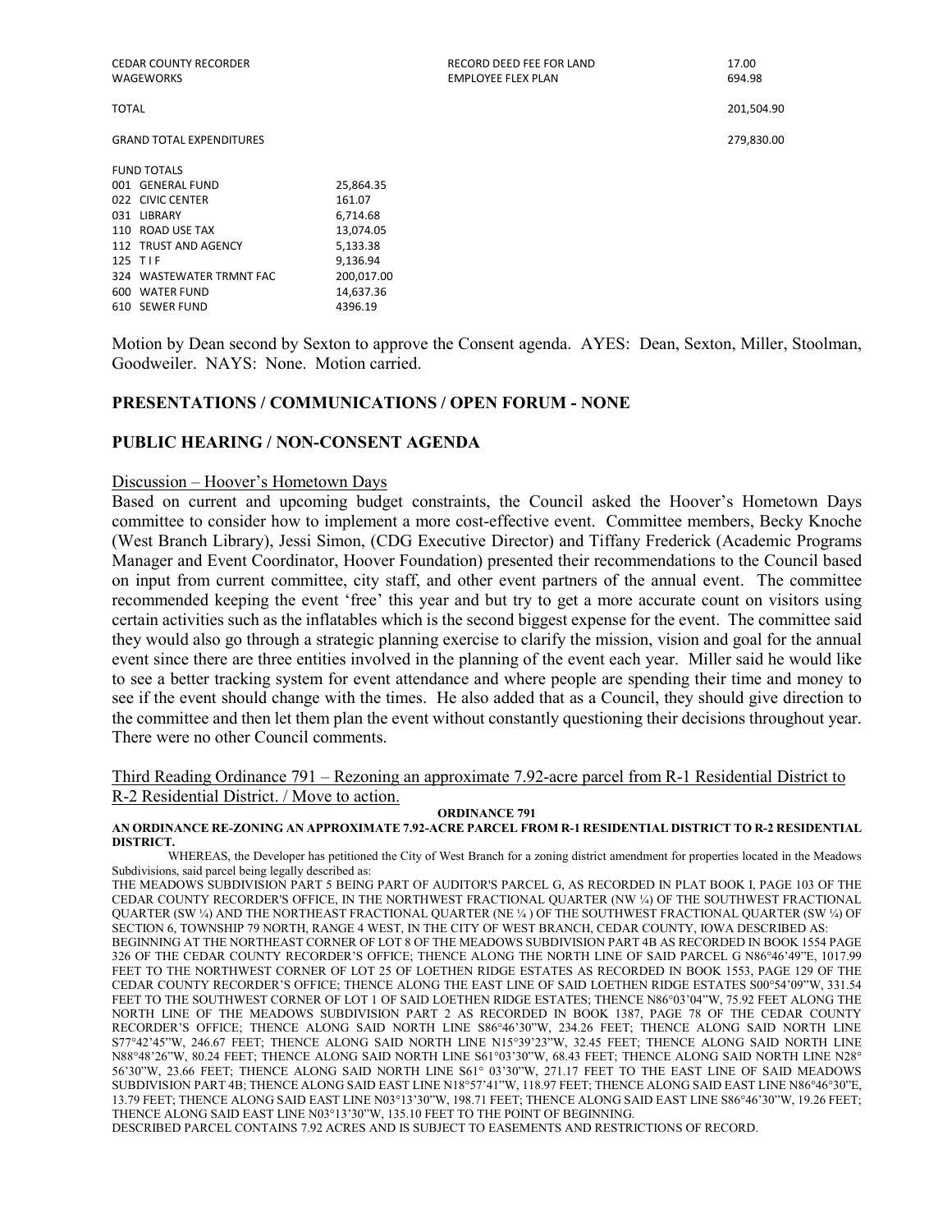CEDAR COUNTY RECORDER RECORD DEED FEE FOR LAND 17.00

GRAND TOTAL EXPENDITURES 279,830.00

TOTAL 201,504.90

| <b>FUND TOTALS</b>       |            |
|--------------------------|------------|
| 001 GENERAL FUND         | 25,864.35  |
| 022 CIVIC CENTER         | 161.07     |
| 031 LIBRARY              | 6.714.68   |
| 110 ROAD USE TAX         | 13.074.05  |
| 112 TRUST AND AGENCY     | 5,133.38   |
| 125 TIF                  | 9.136.94   |
| 324 WASTEWATER TRMNT FAC | 200,017.00 |
| 600 WATER FUND           | 14,637.36  |
| 610 SEWER FUND           | 4396.19    |
|                          |            |

Motion by Dean second by Sexton to approve the Consent agenda. AYES: Dean, Sexton, Miller, Stoolman, Goodweiler. NAYS: None. Motion carried.

#### **PRESENTATIONS / COMMUNICATIONS / OPEN FORUM - NONE**

#### **PUBLIC HEARING / NON-CONSENT AGENDA**

#### Discussion – Hoover's Hometown Days

Based on current and upcoming budget constraints, the Council asked the Hoover's Hometown Days committee to consider how to implement a more cost-effective event. Committee members, Becky Knoche (West Branch Library), Jessi Simon, (CDG Executive Director) and Tiffany Frederick (Academic Programs Manager and Event Coordinator, Hoover Foundation) presented their recommendations to the Council based on input from current committee, city staff, and other event partners of the annual event. The committee recommended keeping the event 'free' this year and but try to get a more accurate count on visitors using certain activities such as the inflatables which is the second biggest expense for the event. The committee said they would also go through a strategic planning exercise to clarify the mission, vision and goal for the annual event since there are three entities involved in the planning of the event each year. Miller said he would like to see a better tracking system for event attendance and where people are spending their time and money to see if the event should change with the times. He also added that as a Council, they should give direction to the committee and then let them plan the event without constantly questioning their decisions throughout year. There were no other Council comments.

Third Reading Ordinance 791 – Rezoning an approximate 7.92-acre parcel from R-1 Residential District to R-2 Residential District. / Move to action.

#### **ORDINANCE 791 AN ORDINANCE RE-ZONING AN APPROXIMATE 7.92-ACRE PARCEL FROM R-1 RESIDENTIAL DISTRICT TO R-2 RESIDENTIAL DISTRICT.**

WHEREAS, the Developer has petitioned the City of West Branch for a zoning district amendment for properties located in the Meadows Subdivisions, said parcel being legally described as:

THE MEADOWS SUBDIVISION PART 5 BEING PART OF AUDITOR'S PARCEL G, AS RECORDED IN PLAT BOOK I, PAGE 103 OF THE CEDAR COUNTY RECORDER'S OFFICE, IN THE NORTHWEST FRACTIONAL QUARTER (NW ¼) OF THE SOUTHWEST FRACTIONAL QUARTER (SW ¼) AND THE NORTHEAST FRACTIONAL QUARTER (NE ¼ ) OF THE SOUTHWEST FRACTIONAL QUARTER (SW ¼) OF SECTION 6, TOWNSHIP 79 NORTH, RANGE 4 WEST, IN THE CITY OF WEST BRANCH, CEDAR COUNTY, IOWA DESCRIBED AS: BEGINNING AT THE NORTHEAST CORNER OF LOT 8 OF THE MEADOWS SUBDIVISION PART 4B AS RECORDED IN BOOK 1554 PAGE 326 OF THE CEDAR COUNTY RECORDER'S OFFICE; THENCE ALONG THE NORTH LINE OF SAID PARCEL G N86°46'49"E, 1017.99 FEET TO THE NORTHWEST CORNER OF LOT 25 OF LOETHEN RIDGE ESTATES AS RECORDED IN BOOK 1553, PAGE 129 OF THE CEDAR COUNTY RECORDER'S OFFICE; THENCE ALONG THE EAST LINE OF SAID LOETHEN RIDGE ESTATES S00°54'09"W, 331.54 FEET TO THE SOUTHWEST CORNER OF LOT 1 OF SAID LOETHEN RIDGE ESTATES; THENCE N86°03'04"W, 75.92 FEET ALONG THE NORTH LINE OF THE MEADOWS SUBDIVISION PART 2 AS RECORDED IN BOOK 1387, PAGE 78 OF THE CEDAR COUNTY RECORDER'S OFFICE; THENCE ALONG SAID NORTH LINE S86°46'30"W, 234.26 FEET; THENCE ALONG SAID NORTH LINE S77°42'45"W, 246.67 FEET; THENCE ALONG SAID NORTH LINE N15°39'23"W, 32.45 FEET; THENCE ALONG SAID NORTH LINE N88°48'26"W, 80.24 FEET; THENCE ALONG SAID NORTH LINE S61°03'30"W, 68.43 FEET; THENCE ALONG SAID NORTH LINE N28° 56'30"W, 23.66 FEET; THENCE ALONG SAID NORTH LINE S61° 03'30"W, 271.17 FEET TO THE EAST LINE OF SAID MEADOWS SUBDIVISION PART 4B; THENCE ALONG SAID EAST LINE N18°57'41"W, 118.97 FEET; THENCE ALONG SAID EAST LINE N86°46°30"E, 13.79 FEET; THENCE ALONG SAID EAST LINE N03°13'30"W, 198.71 FEET; THENCE ALONG SAID EAST LINE S86°46'30"W, 19.26 FEET; THENCE ALONG SAID EAST LINE N03°13'30"W, 135.10 FEET TO THE POINT OF BEGINNING.

DESCRIBED PARCEL CONTAINS 7.92 ACRES AND IS SUBJECT TO EASEMENTS AND RESTRICTIONS OF RECORD.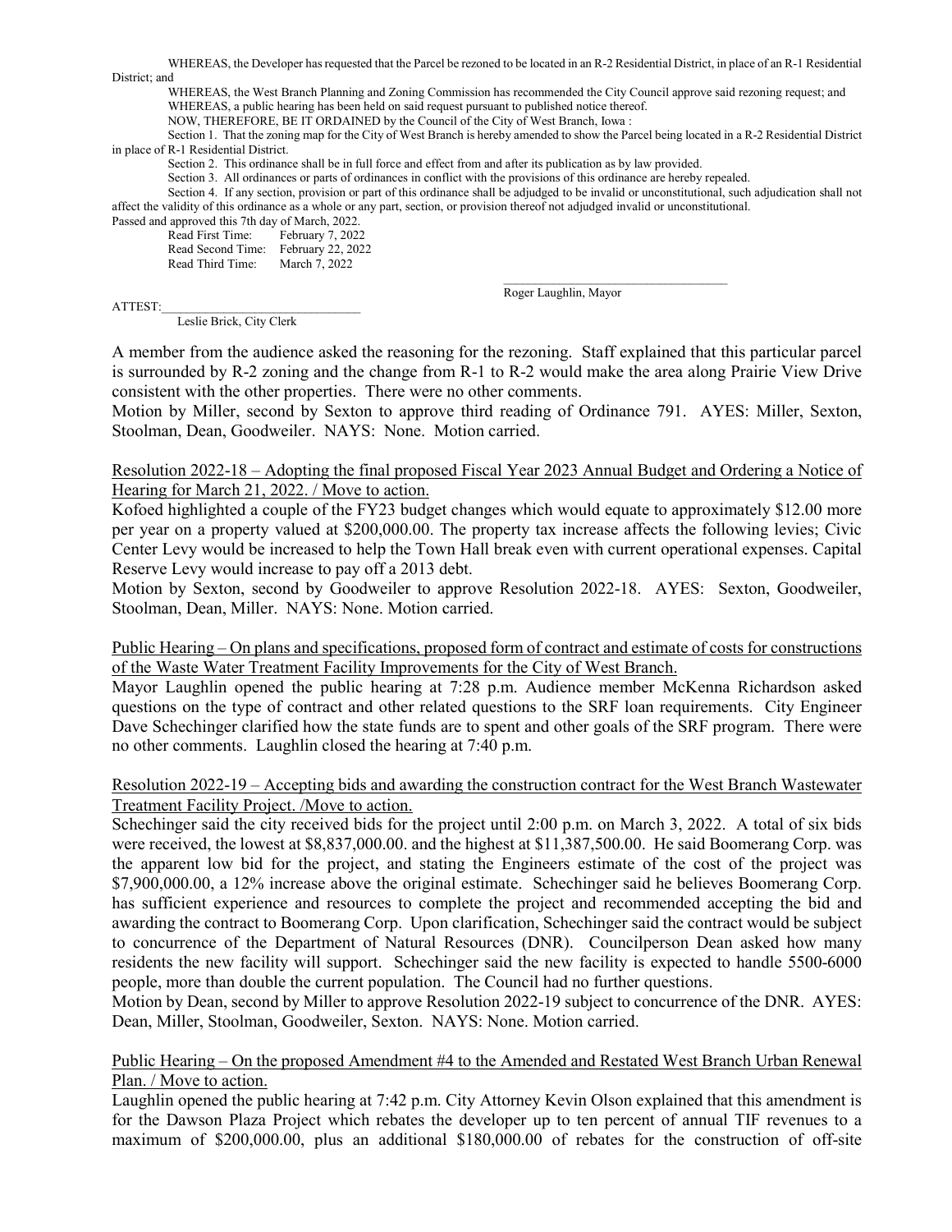WHEREAS, the Developer has requested that the Parcel be rezoned to be located in an R-2 Residential District, in place of an R-1 Residential District; and

WHEREAS, the West Branch Planning and Zoning Commission has recommended the City Council approve said rezoning request; and WHEREAS, a public hearing has been held on said request pursuant to published notice thereof.

NOW, THEREFORE, BE IT ORDAINED by the Council of the City of West Branch, Iowa :

Section 1. That the zoning map for the City of West Branch is hereby amended to show the Parcel being located in a R-2 Residential District in place of R-1 Residential District.

Section 2. This ordinance shall be in full force and effect from and after its publication as by law provided.

Section 3. All ordinances or parts of ordinances in conflict with the provisions of this ordinance are hereby repealed.

Section 4. If any section, provision or part of this ordinance shall be adjudged to be invalid or unconstitutional, such adjudication shall not affect the validity of this ordinance as a whole or any part, section, or provision thereof not adjudged invalid or unconstitutional.

Passed and approved this 7th day of March, 2022. Read First Time:

Read Second Time: February 22, 2022<br>Read Third Time: March 7, 2022 Read Third Time:

Roger Laughlin, Mayor

ATTEST:\_\_\_\_\_\_\_\_\_\_\_\_\_\_\_\_\_\_\_\_\_\_\_\_\_\_\_\_\_\_\_\_

Leslie Brick, City Clerk

A member from the audience asked the reasoning for the rezoning. Staff explained that this particular parcel is surrounded by R-2 zoning and the change from R-1 to R-2 would make the area along Prairie View Drive consistent with the other properties. There were no other comments.

Motion by Miller, second by Sexton to approve third reading of Ordinance 791. AYES: Miller, Sexton, Stoolman, Dean, Goodweiler. NAYS: None. Motion carried.

### Resolution 2022-18 – Adopting the final proposed Fiscal Year 2023 Annual Budget and Ordering a Notice of Hearing for March 21, 2022. / Move to action.

Kofoed highlighted a couple of the FY23 budget changes which would equate to approximately \$12.00 more per year on a property valued at \$200,000.00. The property tax increase affects the following levies; Civic Center Levy would be increased to help the Town Hall break even with current operational expenses. Capital Reserve Levy would increase to pay off a 2013 debt.

Motion by Sexton, second by Goodweiler to approve Resolution 2022-18. AYES: Sexton, Goodweiler, Stoolman, Dean, Miller. NAYS: None. Motion carried.

Public Hearing – On plans and specifications, proposed form of contract and estimate of costs for constructions of the Waste Water Treatment Facility Improvements for the City of West Branch.

Mayor Laughlin opened the public hearing at 7:28 p.m. Audience member McKenna Richardson asked questions on the type of contract and other related questions to the SRF loan requirements. City Engineer Dave Schechinger clarified how the state funds are to spent and other goals of the SRF program. There were no other comments. Laughlin closed the hearing at 7:40 p.m.

#### Resolution 2022-19 – Accepting bids and awarding the construction contract for the West Branch Wastewater Treatment Facility Project. /Move to action.

Schechinger said the city received bids for the project until 2:00 p.m. on March 3, 2022. A total of six bids were received, the lowest at \$8,837,000.00. and the highest at \$11,387,500.00. He said Boomerang Corp. was the apparent low bid for the project, and stating the Engineers estimate of the cost of the project was \$7,900,000.00, a 12% increase above the original estimate. Schechinger said he believes Boomerang Corp. has sufficient experience and resources to complete the project and recommended accepting the bid and awarding the contract to Boomerang Corp. Upon clarification, Schechinger said the contract would be subject to concurrence of the Department of Natural Resources (DNR). Councilperson Dean asked how many residents the new facility will support. Schechinger said the new facility is expected to handle 5500-6000 people, more than double the current population. The Council had no further questions.

Motion by Dean, second by Miller to approve Resolution 2022-19 subject to concurrence of the DNR. AYES: Dean, Miller, Stoolman, Goodweiler, Sexton. NAYS: None. Motion carried.

### Public Hearing – On the proposed Amendment #4 to the Amended and Restated West Branch Urban Renewal Plan. / Move to action.

Laughlin opened the public hearing at 7:42 p.m. City Attorney Kevin Olson explained that this amendment is for the Dawson Plaza Project which rebates the developer up to ten percent of annual TIF revenues to a maximum of \$200,000.00, plus an additional \$180,000.00 of rebates for the construction of off-site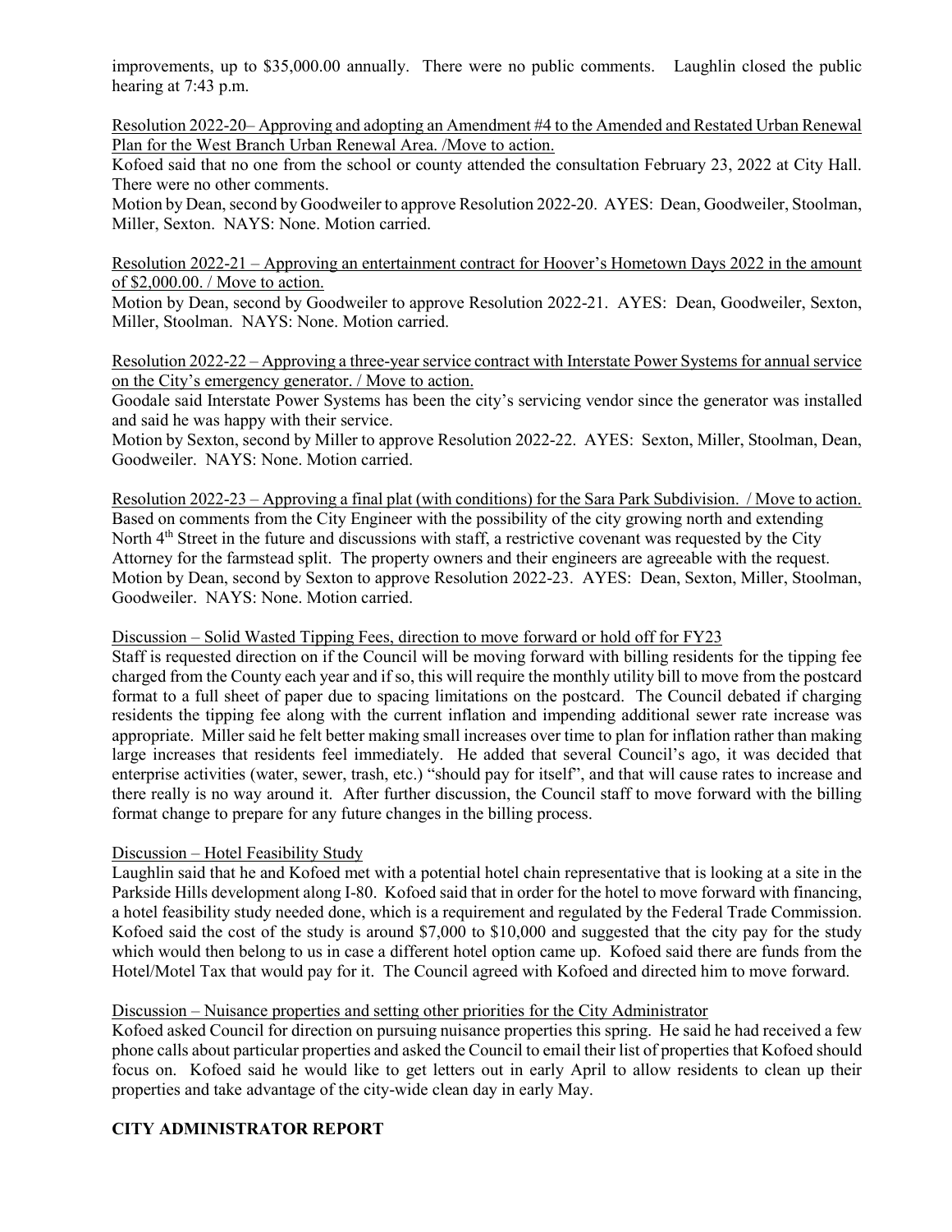improvements, up to \$35,000.00 annually. There were no public comments. Laughlin closed the public hearing at 7:43 p.m.

Resolution 2022-20– Approving and adopting an Amendment #4 to the Amended and Restated Urban Renewal Plan for the West Branch Urban Renewal Area. /Move to action.

Kofoed said that no one from the school or county attended the consultation February 23, 2022 at City Hall. There were no other comments.

Motion by Dean, second by Goodweiler to approve Resolution 2022-20. AYES: Dean, Goodweiler, Stoolman, Miller, Sexton. NAYS: None. Motion carried.

Resolution 2022-21 – Approving an entertainment contract for Hoover's Hometown Days 2022 in the amount of \$2,000.00. / Move to action.

Motion by Dean, second by Goodweiler to approve Resolution 2022-21. AYES: Dean, Goodweiler, Sexton, Miller, Stoolman. NAYS: None. Motion carried.

Resolution 2022-22 – Approving a three-year service contract with Interstate Power Systems for annual service on the City's emergency generator. / Move to action.

Goodale said Interstate Power Systems has been the city's servicing vendor since the generator was installed and said he was happy with their service.

Motion by Sexton, second by Miller to approve Resolution 2022-22. AYES: Sexton, Miller, Stoolman, Dean, Goodweiler. NAYS: None. Motion carried.

Resolution 2022-23 – Approving a final plat (with conditions) for the Sara Park Subdivision. / Move to action. Based on comments from the City Engineer with the possibility of the city growing north and extending North 4<sup>th</sup> Street in the future and discussions with staff, a restrictive covenant was requested by the City Attorney for the farmstead split. The property owners and their engineers are agreeable with the request. Motion by Dean, second by Sexton to approve Resolution 2022-23. AYES: Dean, Sexton, Miller, Stoolman, Goodweiler. NAYS: None. Motion carried.

## Discussion – Solid Wasted Tipping Fees, direction to move forward or hold off for FY23

Staff is requested direction on if the Council will be moving forward with billing residents for the tipping fee charged from the County each year and if so, this will require the monthly utility bill to move from the postcard format to a full sheet of paper due to spacing limitations on the postcard. The Council debated if charging residents the tipping fee along with the current inflation and impending additional sewer rate increase was appropriate. Miller said he felt better making small increases over time to plan for inflation rather than making large increases that residents feel immediately. He added that several Council's ago, it was decided that enterprise activities (water, sewer, trash, etc.) "should pay for itself", and that will cause rates to increase and there really is no way around it. After further discussion, the Council staff to move forward with the billing format change to prepare for any future changes in the billing process.

## Discussion – Hotel Feasibility Study

Laughlin said that he and Kofoed met with a potential hotel chain representative that is looking at a site in the Parkside Hills development along I-80. Kofoed said that in order for the hotel to move forward with financing, a hotel feasibility study needed done, which is a requirement and regulated by the Federal Trade Commission. Kofoed said the cost of the study is around \$7,000 to \$10,000 and suggested that the city pay for the study which would then belong to us in case a different hotel option came up. Kofoed said there are funds from the Hotel/Motel Tax that would pay for it. The Council agreed with Kofoed and directed him to move forward.

## Discussion – Nuisance properties and setting other priorities for the City Administrator

Kofoed asked Council for direction on pursuing nuisance properties this spring. He said he had received a few phone calls about particular properties and asked the Council to email their list of properties that Kofoed should focus on. Kofoed said he would like to get letters out in early April to allow residents to clean up their properties and take advantage of the city-wide clean day in early May.

# **CITY ADMINISTRATOR REPORT**